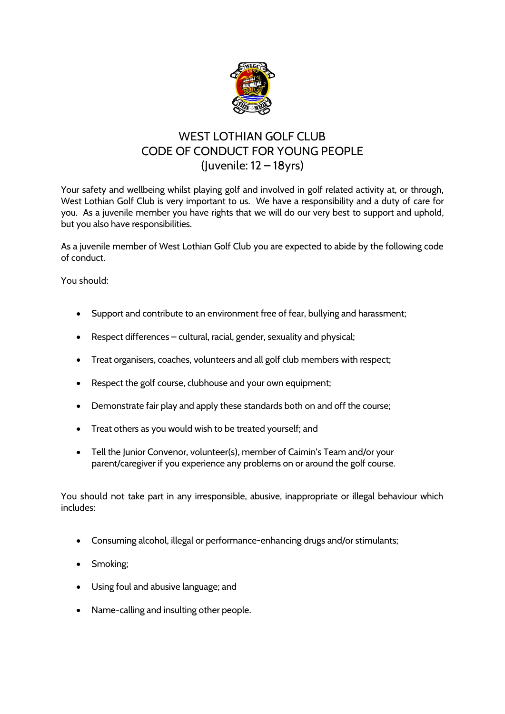

## **WEST LOTHIAN GOLF CLUB CODE OF CONDUCT FOR YOUNG PEOPLE (Juvenile: 12 – 18yrs)**

Your safety and wellbeing whilst playing golf and involved in golf related activity at, or through, West Lothian Golf Club is very important to us. We have a responsibility and a duty of care for you. As a juvenile member you have rights that we will do our very best to support and uphold, but you also have responsibilities.

As a juvenile member of West Lothian Golf Club you are expected to abide by the following code of conduct.

**You should**:

- Support and contribute to an environment free of fear, bullying and harassment;
- Respect differences cultural, racial, gender, sexuality and physical;
- Treat organisers, coaches, volunteers and all golf club members with respect;
- Respect the golf course, clubhouse and your own equipment;
- Demonstrate fair play and apply these standards both on and off the course;
- Treat others as you would wish to be treated yourself; and
- Tell the Junior Convenor, volunteer(s), member of Caimin's Team and/or your parent/caregiver if you experience any problems on or around the golf course.

**You should not** take part in any irresponsible, abusive, inappropriate or illegal behaviour which includes:

- Consuming alcohol, illegal or performance-enhancing drugs and/or stimulants;
- Smoking;
- Using foul and abusive language; and
- Name-calling and insulting other people.